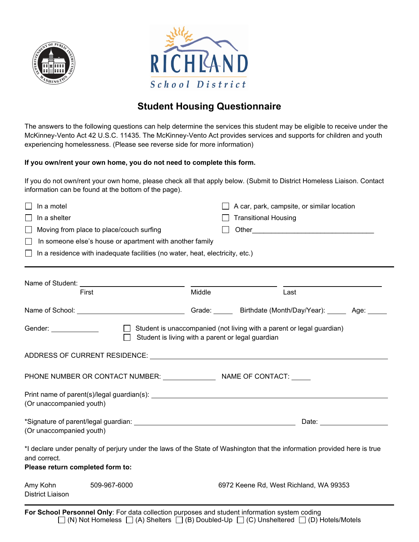



## **Student Housing Questionnaire**

The answers to the following questions can help determine the services this student may be eligible to receive under the McKinney-Vento Act 42 U.S.C. 11435. The McKinney-Vento Act provides services and supports for children and youth experiencing homelessness. (Please see reverse side for more information)

## **If you own/rent your own home, you do not need to complete this form.**

If you do not own/rent your own home, please check all that apply below. (Submit to District Homeless Liaison. Contact information can be found at the bottom of the page).

| In a motel                                                                                                               |                                                   |        | A car, park, campsite, or similar location |  |
|--------------------------------------------------------------------------------------------------------------------------|---------------------------------------------------|--------|--------------------------------------------|--|
| In a shelter                                                                                                             |                                                   |        | <b>Transitional Housing</b>                |  |
| Moving from place to place/couch surfing                                                                                 |                                                   |        |                                            |  |
| In someone else's house or apartment with another family                                                                 |                                                   |        |                                            |  |
| In a residence with inadequate facilities (no water, heat, electricity, etc.)                                            |                                                   |        |                                            |  |
|                                                                                                                          |                                                   |        |                                            |  |
|                                                                                                                          |                                                   |        |                                            |  |
| First                                                                                                                    |                                                   | Middle | Last                                       |  |
|                                                                                                                          |                                                   |        |                                            |  |
| Student is unaccompanied (not living with a parent or legal guardian)<br>Gender: <u>Communication</u>                    |                                                   |        |                                            |  |
|                                                                                                                          | Student is living with a parent or legal guardian |        |                                            |  |
|                                                                                                                          |                                                   |        |                                            |  |
|                                                                                                                          |                                                   |        |                                            |  |
|                                                                                                                          |                                                   |        |                                            |  |
|                                                                                                                          |                                                   |        |                                            |  |
| (Or unaccompanied youth)                                                                                                 |                                                   |        |                                            |  |
| Date: <u>____________________</u>                                                                                        |                                                   |        |                                            |  |
| (Or unaccompanied youth)                                                                                                 |                                                   |        |                                            |  |
| *I declare under penalty of perjury under the laws of the State of Washington that the information provided here is true |                                                   |        |                                            |  |
| and correct.                                                                                                             |                                                   |        |                                            |  |
| Please return completed form to:                                                                                         |                                                   |        |                                            |  |
| Amy Kohn                                                                                                                 | 509-967-6000                                      |        | 6972 Keene Rd, West Richland, WA 99353     |  |
| <b>District Liaison</b>                                                                                                  |                                                   |        |                                            |  |
|                                                                                                                          |                                                   |        |                                            |  |

**For School Personnel Only**: For data collection purposes and student information system coding  $\Box$  (N) Not Homeless  $\Box$  (A) Shelters  $\Box$  (B) Doubled-Up  $\Box$  (C) Unsheltered  $\Box$  (D) Hotels/Motels